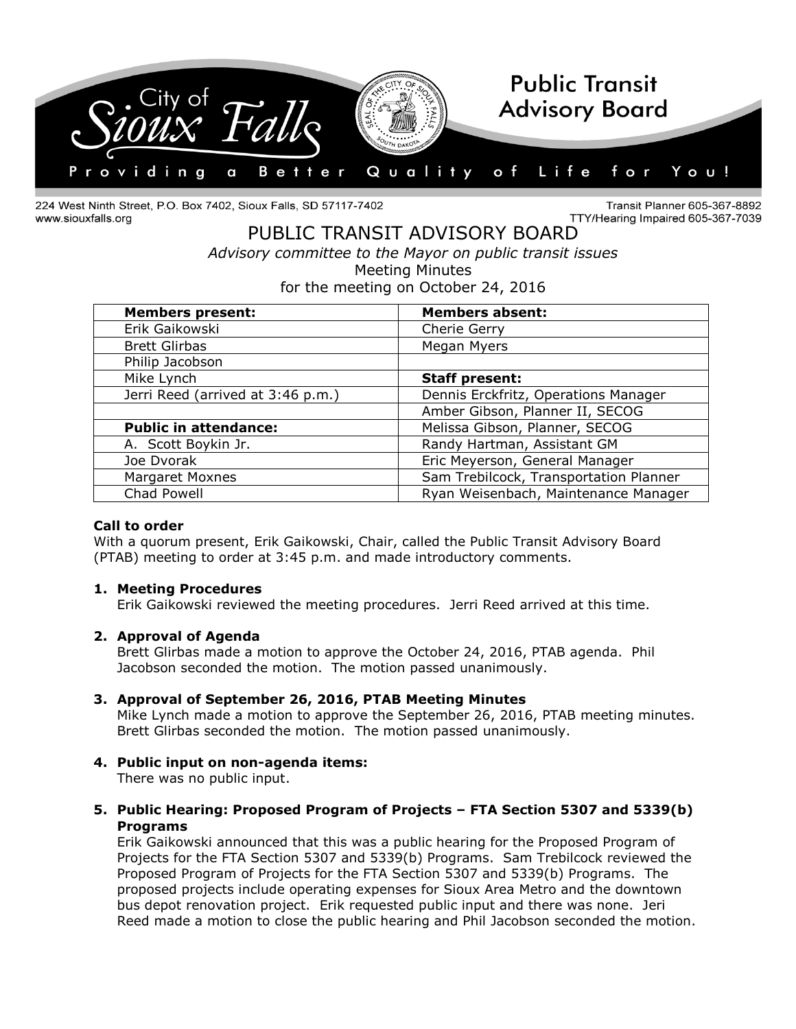

224 West Ninth Street, P.O. Box 7402, Sioux Falls, SD 57117-7402 www.siouxfalls.org

**Transit Planner 605-367-8892** TTY/Hearing Impaired 605-367-7039

## PUBLIC TRANSIT ADVISORY BOARD *Advisory committee to the Mayor on public transit issues* Meeting Minutes for the meeting on October 24, 2016

| <b>Members present:</b>           | <b>Members absent:</b>                 |
|-----------------------------------|----------------------------------------|
| Erik Gaikowski                    | Cherie Gerry                           |
| <b>Brett Glirbas</b>              | Megan Myers                            |
| Philip Jacobson                   |                                        |
| Mike Lynch                        | <b>Staff present:</b>                  |
| Jerri Reed (arrived at 3:46 p.m.) | Dennis Erckfritz, Operations Manager   |
|                                   | Amber Gibson, Planner II, SECOG        |
| <b>Public in attendance:</b>      | Melissa Gibson, Planner, SECOG         |
| A. Scott Boykin Jr.               | Randy Hartman, Assistant GM            |
| Joe Dvorak                        | Eric Meyerson, General Manager         |
| Margaret Moxnes                   | Sam Trebilcock, Transportation Planner |
| Chad Powell                       | Ryan Weisenbach, Maintenance Manager   |

## **Call to order**

With a quorum present, Erik Gaikowski, Chair, called the Public Transit Advisory Board (PTAB) meeting to order at 3:45 p.m. and made introductory comments.

#### **1. Meeting Procedures**

Erik Gaikowski reviewed the meeting procedures. Jerri Reed arrived at this time.

#### **2. Approval of Agenda**

Brett Glirbas made a motion to approve the October 24, 2016, PTAB agenda. Phil Jacobson seconded the motion. The motion passed unanimously.

#### **3. Approval of September 26, 2016, PTAB Meeting Minutes**

Mike Lynch made a motion to approve the September 26, 2016, PTAB meeting minutes. Brett Glirbas seconded the motion. The motion passed unanimously.

# **4. Public input on non-agenda items:**

There was no public input.

## **5. Public Hearing: Proposed Program of Projects – FTA Section 5307 and 5339(b) Programs**

Erik Gaikowski announced that this was a public hearing for the Proposed Program of Projects for the FTA Section 5307 and 5339(b) Programs. Sam Trebilcock reviewed the Proposed Program of Projects for the FTA Section 5307 and 5339(b) Programs. The proposed projects include operating expenses for Sioux Area Metro and the downtown bus depot renovation project. Erik requested public input and there was none. Jeri Reed made a motion to close the public hearing and Phil Jacobson seconded the motion.